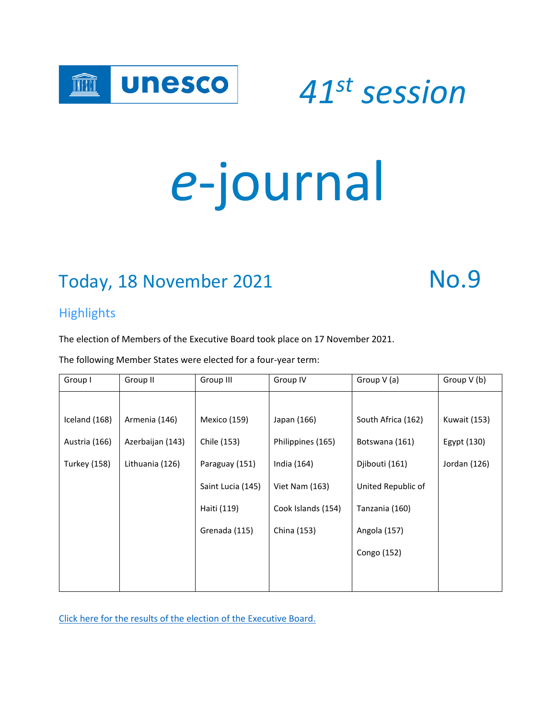

 *<sup>41</sup>st session*

# *e*-journal

## Today, 18 November 2021 No.9

#### **Highlights**

The election of Members of the Executive Board took place on 17 November 2021.

The following Member States were elected for a four-year term:

| Group V (b)         |
|---------------------|
|                     |
| <b>Kuwait (153)</b> |
| Egypt (130)         |
| Jordan (126)        |
|                     |
|                     |
|                     |
|                     |
|                     |
|                     |

[Click here for the results of the election](https://www.unesco.org/en/general-conference/41/elections) of the Executive Board.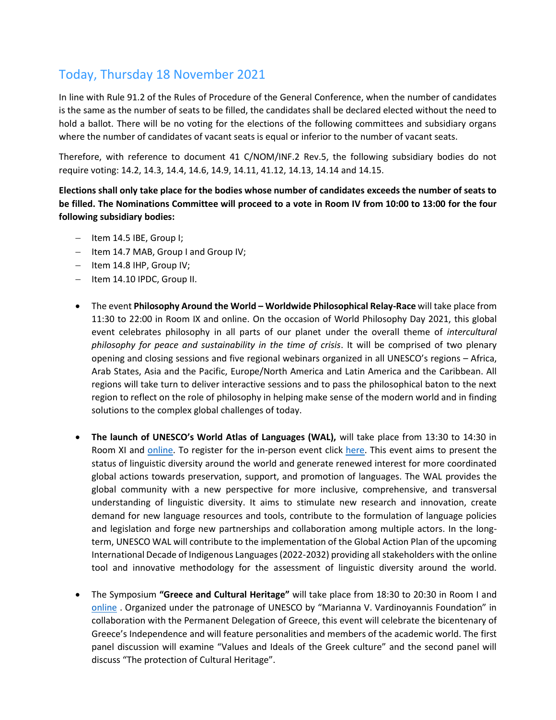#### Today, Thursday 18 November 2021

In line with Rule 91.2 of the Rules of Procedure of the General Conference, when the number of candidates is the same as the number of seats to be filled, the candidates shall be declared elected without the need to hold a ballot. There will be no voting for the elections of the following committees and subsidiary organs where the number of candidates of vacant seats is equal or inferior to the number of vacant seats.

Therefore, with reference to document 41 C/NOM/INF.2 Rev.5, the following subsidiary bodies do not require voting: 14.2, 14.3, 14.4, 14.6, 14.9, 14.11, 41.12, 14.13, 14.14 and 14.15.

**Elections shall only take place for the bodies whose number of candidates exceeds the number of seats to be filled. The Nominations Committee will proceed to a vote in Room IV from 10:00 to 13:00 for the four following subsidiary bodies:**

- − Item 14.5 IBE, Group I;
- − Item 14.7 MAB, Group I and Group IV;
- − Item 14.8 IHP, Group IV;
- − Item 14.10 IPDC, Group II.
- The event **Philosophy Around the World – Worldwide Philosophical Relay-Race** will take place from 11:30 to 22:00 in Room IX and online. On the occasion of World Philosophy Day 2021, this global event celebrates philosophy in all parts of our planet under the overall theme of *intercultural philosophy for peace and sustainability in the time of crisis*. It will be comprised of two plenary opening and closing sessions and five regional webinars organized in all UNESCO's regions – Africa, Arab States, Asia and the Pacific, Europe/North America and Latin America and the Caribbean. All regions will take turn to deliver interactive sessions and to pass the philosophical baton to the next region to reflect on the role of philosophy in helping make sense of the modern world and in finding solutions to the complex global challenges of today.
- **The launch of UNESCO's World Atlas of Languages (WAL),** will take place from 13:30 to 14:30 in Room XI and [online.](https://webcast.unesco.org/events/2021-11-UNESCO-WAL) To register for the in-person event click [here.](https://en.unesco.org/feedback/global-launch-unescos-world-atlas-languages-registration) This event aims to present the status of linguistic diversity around the world and generate renewed interest for more coordinated global actions towards preservation, support, and promotion of languages. The WAL provides the global community with a new perspective for more inclusive, comprehensive, and transversal understanding of linguistic diversity. It aims to stimulate new research and innovation, create demand for new language resources and tools, contribute to the formulation of language policies and legislation and forge new partnerships and collaboration among multiple actors. In the longterm, UNESCO WAL will contribute to the implementation of the Global Action Plan of the upcoming International Decade of Indigenous Languages (2022-2032) providing all stakeholders with the online tool and innovative methodology for the assessment of linguistic diversity around the world.
- The Symposium **"Greece and Cultural Heritage"** will take place from 18:30 to 20:30 in Room I and [online](http://webcast.unesco.org/events/2021-11-PAX-GACH/) . Organized under the patronage of UNESCO by "Marianna V. Vardinoyannis Foundation" in collaboration with the Permanent Delegation of Greece, this event will celebrate the bicentenary of Greece's Independence and will feature personalities and members of the academic world. The first panel discussion will examine "Values and Ideals of the Greek culture" and the second panel will discuss "The protection of Cultural Heritage".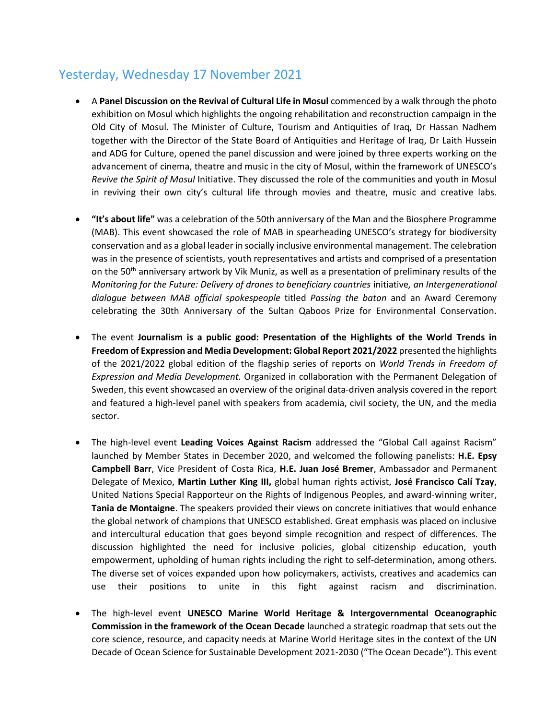#### Yesterday, Wednesday 17 November 2021

- A **Panel Discussion on the Revival of Cultural Life in Mosul** commenced by a walk through the photo exhibition on Mosul which highlights the ongoing rehabilitation and reconstruction campaign in the Old City of Mosul. The Minister of Culture, Tourism and Antiquities of Iraq, Dr Hassan Nadhem together with the Director of the State Board of Antiquities and Heritage of Iraq, Dr Laith Hussein and ADG for Culture, opened the panel discussion and were joined by three experts working on the advancement of cinema, theatre and music in the city of Mosul, within the framework of UNESCO's *Revive the Spirit of Mosul* Initiative. They discussed the role of the communities and youth in Mosul in reviving their own city's cultural life through movies and theatre, music and creative labs.
- **"It's about life"** was a celebration of the 50th anniversary of the Man and the Biosphere Programme (MAB). This event showcased the role of MAB in spearheading UNESCO's strategy for biodiversity conservation and as a global leader in socially inclusive environmental management. The celebration was in the presence of scientists, youth representatives and artists and comprised of a presentation on the 50<sup>th</sup> anniversary artwork by Vik Muniz, as well as a presentation of preliminary results of the *Monitoring for the Future: Delivery of drones to beneficiary countries* initiative*, an Intergenerational dialogue between MAB official spokespeople* titled *Passing the baton* and an Award Ceremony celebrating the 30th Anniversary of the Sultan Qaboos Prize for Environmental Conservation.
- The event **Journalism is a public good: Presentation of the Highlights of the World Trends in Freedom of Expression and Media Development: Global Report 2021/2022** presented the highlights of the 2021/2022 global edition of the flagship series of reports on *World Trends in Freedom of Expression and Media Development.* Organized in collaboration with the Permanent Delegation of Sweden, this event showcased an overview of the original data-driven analysis covered in the report and featured a high-level panel with speakers from academia, civil society, the UN, and the media sector.
- The high-level event **Leading Voices Against Racism** addressed the "Global Call against Racism" launched by Member States in December 2020, and welcomed the following panelists: **H.E. Epsy Campbell Barr**, Vice President of Costa Rica, **H.E. Juan José Bremer**, Ambassador and Permanent Delegate of Mexico, **Martin Luther King III,** global human rights activist, **José Francisco Calí Tzay**, United Nations Special Rapporteur on the Rights of Indigenous Peoples, and award-winning writer, **Tania de Montaigne**. The speakers provided their views on concrete initiatives that would enhance the global network of champions that UNESCO established. Great emphasis was placed on inclusive and intercultural education that goes beyond simple recognition and respect of differences. The discussion highlighted the need for inclusive policies, global citizenship education, youth empowerment, upholding of human rights including the right to self-determination, among others. The diverse set of voices expanded upon how policymakers, activists, creatives and academics can use their positions to unite in this fight against racism and discrimination.
- The high-level event **UNESCO Marine World Heritage & Intergovernmental Oceanographic Commission in the framework of the Ocean Decade** launched a strategic roadmap that sets out the core science, resource, and capacity needs at Marine World Heritage sites in the context of the UN Decade of Ocean Science for Sustainable Development 2021-2030 ("The Ocean Decade"). This event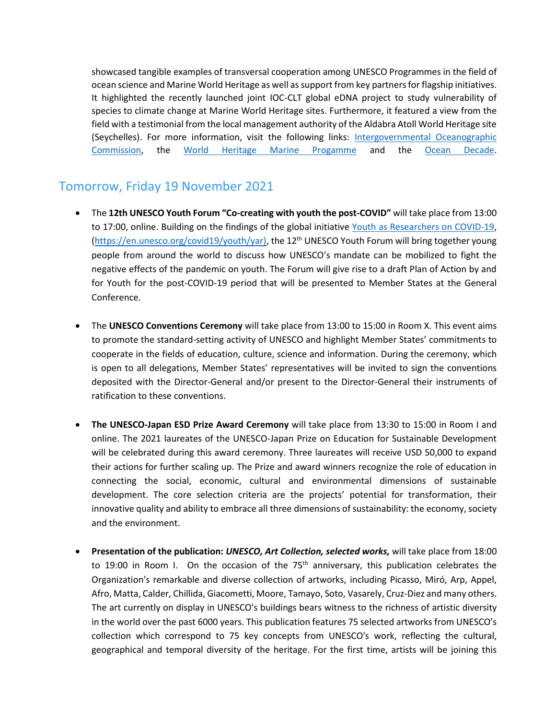showcased tangible examples of transversal cooperation among UNESCO Programmes in the field of ocean science and Marine World Heritage as well as support from key partners for flagship initiatives. It highlighted the recently launched joint IOC-CLT global eDNA project to study vulnerability of species to climate change at Marine World Heritage sites. Furthermore, it featured a view from the field with a testimonial from the local management authority of the Aldabra Atoll World Heritage site (Seychelles). For more information, visit the following links: [Intergovernmental Oceanographic](https://ioc.unesco.org/) [Commission,](https://ioc.unesco.org/) the [World Heritage Marine Progamme](http://whc.unesco.org/) and the [Ocean Decade.](http://www.oceandecade.org/)

#### Tomorrow, Friday 19 November 2021

- The **12th UNESCO Youth Forum "Co-creating with youth the post-COVID"** will take place from 13:00 to 17:00, online. Building on the findings of the global initiative [Youth as Researchers on COVID-19,](https://en.unesco.org/covid19/youth/yar) [\(https://en.unesco.org/covid19/youth/yar\),](https://en.unesco.org/covid19/youth/yar)) the 12<sup>th</sup> UNESCO Youth Forum will bring together young people from around the world to discuss how UNESCO's mandate can be mobilized to fight the negative effects of the pandemic on youth. The Forum will give rise to a draft Plan of Action by and for Youth for the post-COVID-19 period that will be presented to Member States at the General Conference.
- The **UNESCO Conventions Ceremony** will take place from 13:00 to 15:00 in Room X. This event aims to promote the standard-setting activity of UNESCO and highlight Member States' commitments to cooperate in the fields of education, culture, science and information. During the ceremony, which is open to all delegations, Member States' representatives will be invited to sign the conventions deposited with the Director-General and/or present to the Director-General their instruments of ratification to these conventions.
- **The UNESCO-Japan ESD Prize Award Ceremony** will take place from 13:30 to 15:00 in Room I and online. The 2021 laureates of the UNESCO-Japan Prize on Education for Sustainable Development will be celebrated during this award ceremony. Three laureates will receive USD 50,000 to expand their actions for further scaling up. The Prize and award winners recognize the role of education in connecting the social, economic, cultural and environmental dimensions of sustainable development. The core selection criteria are the projects' potential for transformation, their innovative quality and ability to embrace all three dimensions of sustainability: the economy, society and the environment.
- **Presentation of the publication:** *UNESCO, Art Collection, selected works,* will take place from 18:00 to 19:00 in Room I. On the occasion of the  $75<sup>th</sup>$  anniversary, this publication celebrates the Organization's remarkable and diverse collection of artworks, including Picasso, Miró, Arp, Appel, Afro, Matta, Calder, Chillida, Giacometti, Moore, Tamayo, Soto, Vasarely, Cruz-Diez and many others. The art currently on display in UNESCO's buildings bears witness to the richness of artistic diversity in the world over the past 6000 years. This publication features 75 selected artworks from UNESCO's collection which correspond to 75 key concepts from UNESCO's work, reflecting the cultural, geographical and temporal diversity of the heritage. For the first time, artists will be joining this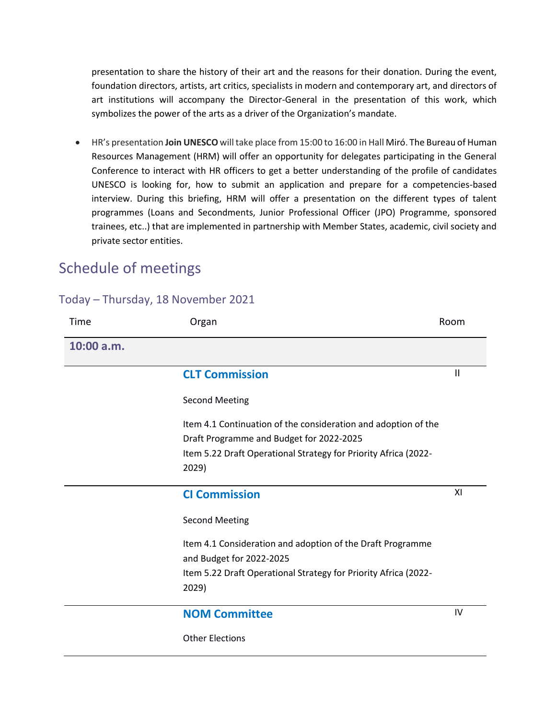presentation to share the history of their art and the reasons for their donation. During the event, foundation directors, artists, art critics, specialists in modern and contemporary art, and directors of art institutions will accompany the Director-General in the presentation of this work, which symbolizes the power of the arts as a driver of the Organization's mandate.

• HR's presentation **Join UNESCO** will take place from 15:00 to 16:00 in Hall Miró. The Bureau of Human Resources Management (HRM) will offer an opportunity for delegates participating in the General Conference to interact with HR officers to get a better understanding of the profile of candidates UNESCO is looking for, how to submit an application and prepare for a competencies-based interview. During this briefing, HRM will offer a presentation on the different types of talent programmes (Loans and Secondments, Junior Professional Officer (JPO) Programme, sponsored trainees, etc..) that are implemented in partnership with Member States, academic, civil society and private sector entities.

#### Schedule of meetings

#### Today – Thursday, 18 November 2021

| Time       | Organ                                                                                                      | Room |
|------------|------------------------------------------------------------------------------------------------------------|------|
| 10:00 a.m. |                                                                                                            |      |
|            | <b>CLT Commission</b>                                                                                      | Ш    |
|            | <b>Second Meeting</b>                                                                                      |      |
|            | Item 4.1 Continuation of the consideration and adoption of the<br>Draft Programme and Budget for 2022-2025 |      |
|            | Item 5.22 Draft Operational Strategy for Priority Africa (2022-<br>2029)                                   |      |
|            | <b>CI Commission</b>                                                                                       | ΧI   |
|            | <b>Second Meeting</b>                                                                                      |      |
|            | Item 4.1 Consideration and adoption of the Draft Programme<br>and Budget for 2022-2025                     |      |
|            | Item 5.22 Draft Operational Strategy for Priority Africa (2022-<br>2029)                                   |      |
|            | <b>NOM Committee</b>                                                                                       | IV   |
|            | <b>Other Elections</b>                                                                                     |      |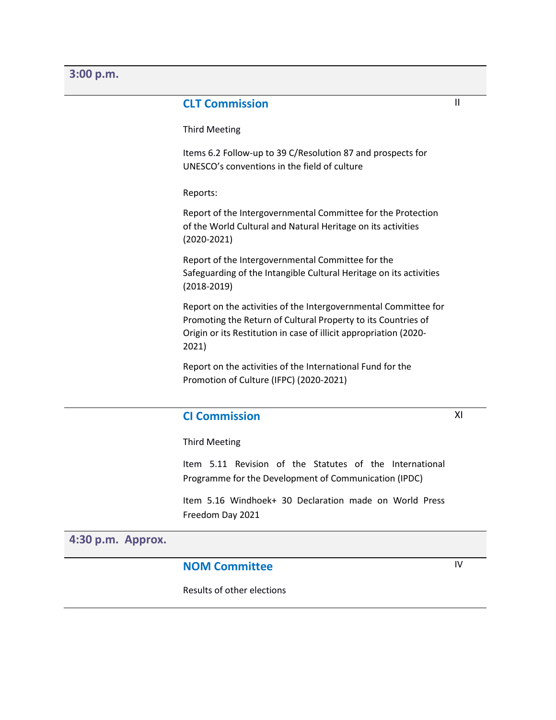#### **3:00 p.m.**

#### **CLT Commission**

Third Meeting

Items 6.2 Follow-up to 39 C/Resolution 87 and prospects for UNESCO's conventions in the field of culture

Reports:

Report of the Intergovernmental Committee for the Protection of the World Cultural and Natural Heritage on its activities (2020-2021)

Report of the Intergovernmental Committee for the Safeguarding of the Intangible Cultural Heritage on its activities (2018-2019)

Report on the activities of the Intergovernmental Committee for Promoting the Return of Cultural Property to its Countries of Origin or its Restitution in case of illicit appropriation (2020- 2021)

Report on the activities of the International Fund for the Promotion of Culture (IFPC) (2020-2021)

#### **CI Commission**

Third Meeting

Item 5.11 Revision of the Statutes of the International Programme for the Development of Communication (IPDC)

Item 5.16 Windhoek+ 30 Declaration made on World Press Freedom Day 2021

#### **4:30 p.m. Approx.**

#### **NOM Committee**

IV

XI

Results of other elections

II